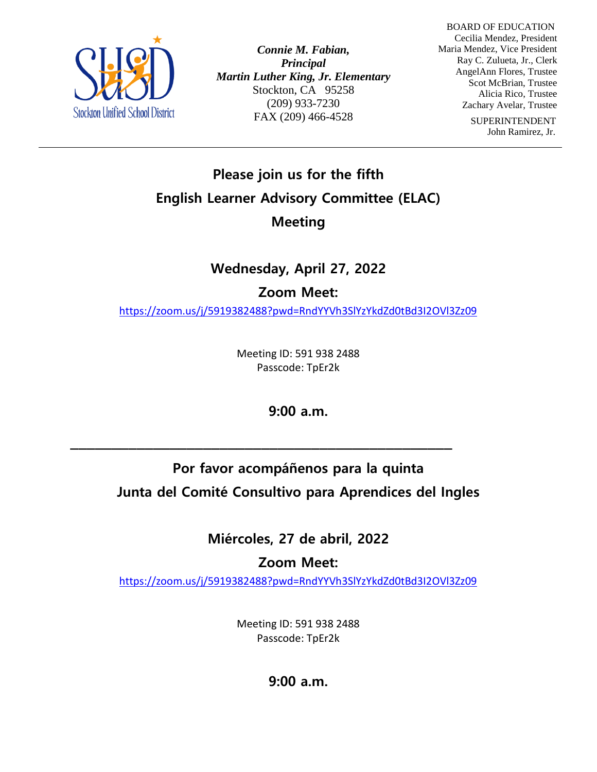

*Connie M. Fabian, Principal Martin Luther King, Jr. Elementary* Stockton, CA 95258 (209) 933-7230 FAX (209) 466-4528

 BOARD OF EDUCATION Cecilia Mendez, President Maria Mendez, Vice President Ray C. Zulueta, Jr., Clerk AngelAnn Flores, Trustee Scot McBrian, Trustee Alicia Rico, Trustee Zachary Avelar, Trustee

> SUPERINTENDENT John Ramirez, Jr.

## **Please join us for the fifth English Learner Advisory Committee (ELAC) Meeting**

## **Wednesday, April 27, 2022**

### **Zoom Meet:**

<https://zoom.us/j/5919382488?pwd=RndYYVh3SlYzYkdZd0tBd3I2OVl3Zz09>

Meeting ID: 591 938 2488 Passcode: TpEr2k

**9:00 a.m.** 

**\_\_\_\_\_\_\_\_\_\_\_\_\_\_\_\_\_\_\_\_\_\_\_\_\_\_\_\_\_\_\_\_\_\_\_\_\_\_\_\_\_\_\_\_\_\_**

# **Por favor acompáñenos para la quinta Junta del Comité Consultivo para Aprendices del Ingles**

**Miércoles, 27 de abril, 2022**

**Zoom Meet:** 

<https://zoom.us/j/5919382488?pwd=RndYYVh3SlYzYkdZd0tBd3I2OVl3Zz09>

Meeting ID: 591 938 2488 Passcode: TpEr2k

**9:00 a.m.**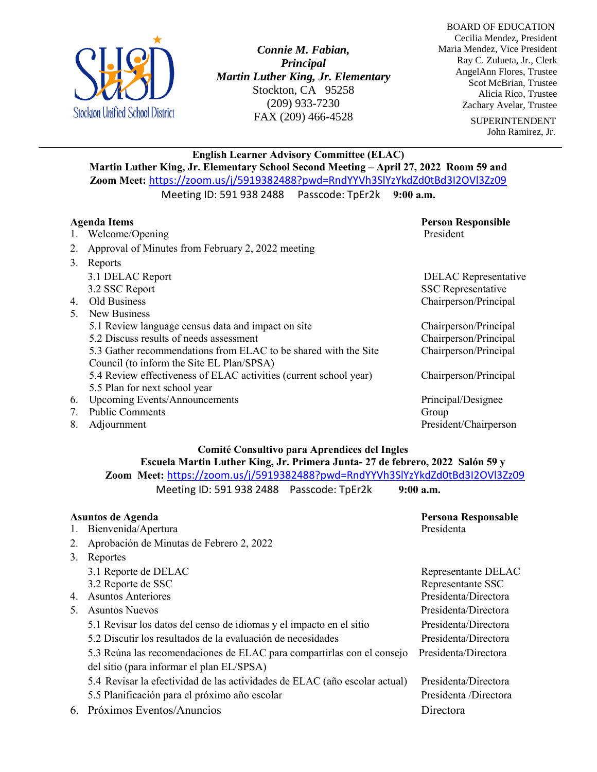

*Connie M. Fabian, Principal Martin Luther King, Jr. Elementary* Stockton, CA 95258 (209) 933-7230 FAX (209) 466-4528

 BOARD OF EDUCATION Cecilia Mendez, President Maria Mendez, Vice President Ray C. Zulueta, Jr., Clerk AngelAnn Flores, Trustee Scot McBrian, Trustee Alicia Rico, Trustee Zachary Avelar, Trustee

> SUPERINTENDENT John Ramirez, Jr.

### **English Learner Advisory Committee (ELAC) Martin Luther King, Jr. Elementary School Second Meeting – April 27, 2022 Room 59 and Zoom Meet:** <https://zoom.us/j/5919382488?pwd=RndYYVh3SlYzYkdZd0tBd3I2OVl3Zz09>

Meeting ID: 591 938 2488 Passcode: TpEr2k **9:00 a.m.**

#### **Agenda Items Person Responsible** 1. Welcome/Opening President President President 2. Approval of Minutes from February 2, 2022 meeting 3. Reports 3.1 DELAC Report DELAC Representative 3.2 SSC Report SSC Representative 4. Old Business Chairperson/Principal 5. New Business 5.1 Review language census data and impact on site Chairperson/Principal 5.2 Discuss results of needs assessment Chairperson/Principal 5.3 Gather recommendations from ELAC to be shared with the Site Chairperson/Principal Council (to inform the Site EL Plan/SPSA) 5.4 Review effectiveness of ELAC activities (current school year) Chairperson/Principal 5.5 Plan for next school year 6. Upcoming Events/Announcements Principal/Designee 7. Public Comments Group 8. Adjournment President/Chairperson

#### **Comité Consultivo para Aprendices del Ingles**

**Escuela Martin Luther King, Jr. Primera Junta- 27 de febrero, 2022 Salón 59 y Zoom Meet:** <https://zoom.us/j/5919382488?pwd=RndYYVh3SlYzYkdZd0tBd3I2OVl3Zz09> Meeting ID: 591 938 2488 Passcode: TpEr2k **9:00 a.m.**

| Asuntos de Agenda |                                                                            | Persona Responsable   |
|-------------------|----------------------------------------------------------------------------|-----------------------|
| 1.                | Bienvenida/Apertura                                                        | Presidenta            |
| 2.                | Aprobación de Minutas de Febrero 2, 2022                                   |                       |
| 3.                | Reportes                                                                   |                       |
|                   | 3.1 Reporte de DELAC                                                       | Representante DELAC   |
|                   | 3.2 Reporte de SSC                                                         | Representante SSC     |
| 4.                | <b>Asuntos Anteriores</b>                                                  | Presidenta/Directora  |
| 5.                | <b>Asuntos Nuevos</b>                                                      | Presidenta/Directora  |
|                   | 5.1 Revisar los datos del censo de idiomas y el impacto en el sitio        | Presidenta/Directora  |
|                   | 5.2 Discutir los resultados de la evaluación de necesidades                | Presidenta/Directora  |
|                   | 5.3 Reúna las recomendaciones de ELAC para compartirlas con el consejo     | Presidenta/Directora  |
|                   | del sitio (para informar el plan EL/SPSA)                                  |                       |
|                   | 5.4 Revisar la efectividad de las actividades de ELAC (año escolar actual) | Presidenta/Directora  |
|                   | 5.5 Planificación para el próximo año escolar                              | Presidenta /Directora |
| 6.                | Próximos Eventos/Anuncios                                                  | Directora             |